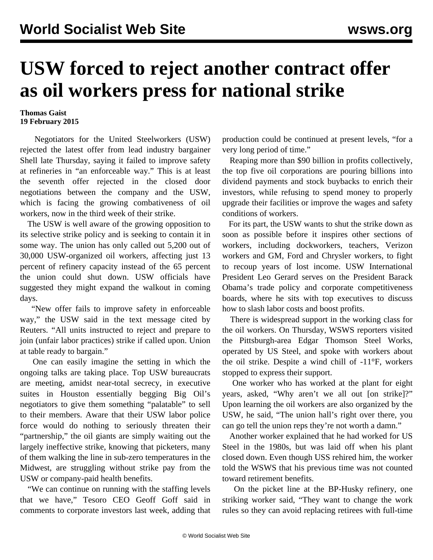## **USW forced to reject another contract offer as oil workers press for national strike**

## **Thomas Gaist 19 February 2015**

 Negotiators for the United Steelworkers (USW) rejected the latest offer from lead industry bargainer Shell late Thursday, saying it failed to improve safety at refineries in "an enforceable way." This is at least the seventh offer rejected in the closed door negotiations between the company and the USW, which is facing the growing combativeness of oil workers, now in the third week of their strike.

 The USW is well aware of the growing opposition to its selective strike policy and is seeking to contain it in some way. The union has only called out 5,200 out of 30,000 USW-organized oil workers, affecting just 13 percent of refinery capacity instead of the 65 percent the union could shut down. USW officials have suggested they might expand the walkout in coming days.

 "New offer fails to improve safety in enforceable way," the USW said in the text message cited by Reuters. "All units instructed to reject and prepare to join (unfair labor practices) strike if called upon. Union at table ready to bargain."

 One can easily imagine the setting in which the ongoing talks are taking place. Top USW bureaucrats are meeting, amidst near-total secrecy, in executive suites in Houston essentially begging Big Oil's negotiators to give them something "palatable" to sell to their members. Aware that their USW labor police force would do nothing to seriously threaten their "partnership," the oil giants are simply waiting out the largely ineffective strike, knowing that picketers, many of them walking the line in sub-zero temperatures in the Midwest, are struggling without strike pay from the USW or company-paid health benefits.

 "We can continue on running with the staffing levels that we have," Tesoro CEO Geoff Goff said in comments to corporate investors last week, adding that production could be continued at present levels, "for a very long period of time."

 Reaping more than \$90 billion in profits collectively, the top five oil corporations are pouring billions into dividend payments and stock buybacks to enrich their investors, while refusing to spend money to properly upgrade their facilities or improve the wages and safety conditions of workers.

 For its part, the USW wants to shut the strike down as soon as possible before it inspires other sections of workers, including dockworkers, teachers, Verizon workers and GM, Ford and Chrysler workers, to fight to recoup years of lost income. USW International President Leo Gerard serves on the President Barack Obama's trade policy and corporate competitiveness boards, where he sits with top executives to discuss how to slash labor costs and boost profits.

 There is widespread support in the working class for the oil workers. On Thursday, WSWS reporters visited the Pittsburgh-area Edgar Thomson Steel Works, operated by US Steel, and spoke with workers about the oil strike. Despite a wind chill of -11°F, workers stopped to express their support.

 One worker who has worked at the plant for eight years, asked, "Why aren't we all out [on strike]?" Upon learning the oil workers are also organized by the USW, he said, "The union hall's right over there, you can go tell the union reps they're not worth a damn."

 Another worker explained that he had worked for US Steel in the 1980s, but was laid off when his plant closed down. Even though USS rehired him, the worker told the WSWS that his previous time was not counted toward retirement benefits.

 On the picket line at the BP-Husky refinery, one striking worker said, "They want to change the work rules so they can avoid replacing retirees with full-time